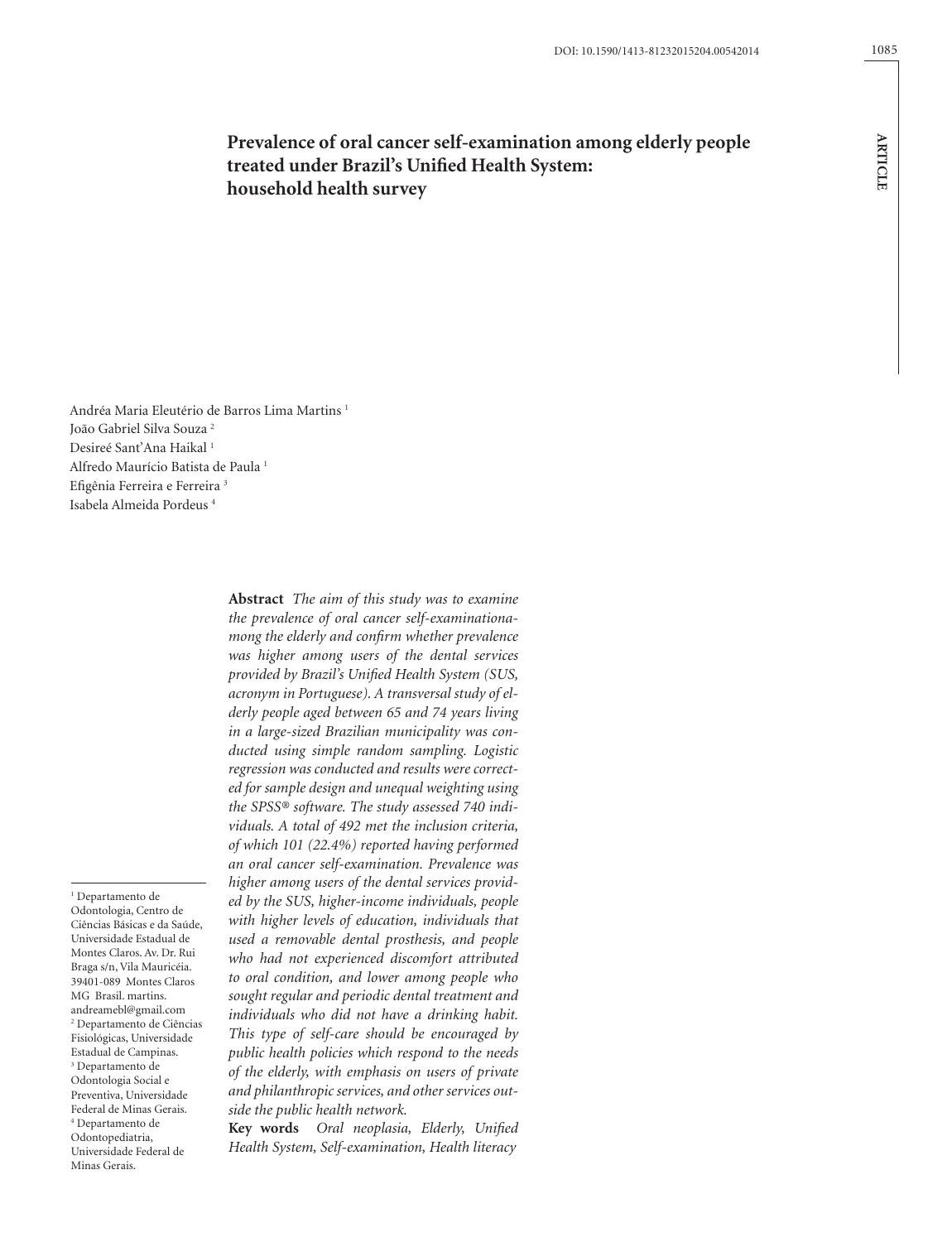**article**

**ARTICLE** 

**Prevalence of oral cancer self-examination among elderly people treated under Brazil's Unified Health System: household health survey**

Andréa Maria Eleutério de Barros Lima Martins 1 João Gabriel Silva Souza 2 Desireé Sant'Ana Haikal<sup>1</sup> Alfredo Maurício Batista de Paula<sup>1</sup> Efigênia Ferreira e Ferreira 3 Isabela Almeida Pordeus 4

1 Departamento de Odontologia, Centro de Ciências Básicas e da Saúde, Universidade Estadual de Montes Claros. Av. Dr. Rui Braga s/n, Vila Mauricéia. 39401-089 Montes Claros MG Brasil. martins. andreamebl@gmail.com 2 Departamento de Ciências Fisiológicas, Universidade Estadual de Campinas. 3 Departamento de Odontologia Social e Preventiva, Universidade Federal de Minas Gerais. 4 Departamento de Odontopediatria, Universidade Federal de Minas Gerais.

**Abstract** *The aim of this study was to examine the prevalence of oral cancer self-examinationamong the elderly and confirm whether prevalence was higher among users of the dental services provided by Brazil's Unified Health System (SUS, acronym in Portuguese). A transversal study of elderly people aged between 65 and 74 years living in a large-sized Brazilian municipality was conducted using simple random sampling. Logistic regression was conducted and results were corrected for sample design and unequal weighting using the SPSS® software. The study assessed 740 individuals. A total of 492 met the inclusion criteria, of which 101 (22.4%) reported having performed an oral cancer self-examination. Prevalence was higher among users of the dental services provided by the SUS, higher-income individuals, people with higher levels of education, individuals that used a removable dental prosthesis, and people who had not experienced discomfort attributed to oral condition, and lower among people who sought regular and periodic dental treatment and individuals who did not have a drinking habit. This type of self-care should be encouraged by public health policies which respond to the needs of the elderly, with emphasis on users of private and philanthropic services, and other services outside the public health network.*

**Key words** *Oral neoplasia, Elderly, Unified Health System, Self-examination, Health literacy*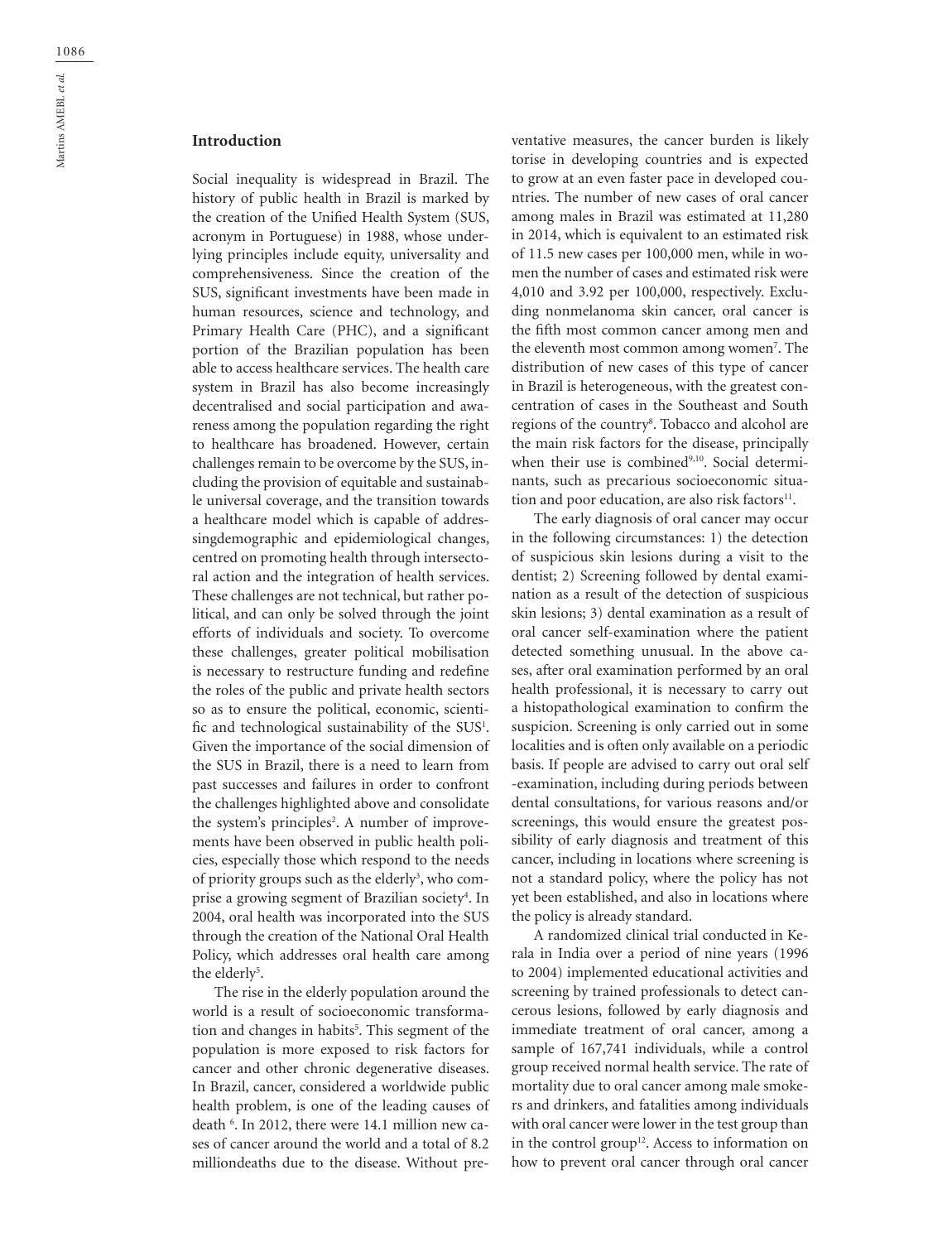Social inequality is widespread in Brazil. The history of public health in Brazil is marked by the creation of the Unified Health System (SUS, acronym in Portuguese) in 1988, whose underlying principles include equity, universality and comprehensiveness. Since the creation of the SUS, significant investments have been made in human resources, science and technology, and Primary Health Care (PHC), and a significant portion of the Brazilian population has been able to access healthcare services. The health care system in Brazil has also become increasingly decentralised and social participation and awareness among the population regarding the right to healthcare has broadened. However, certain challenges remain to be overcome by the SUS, including the provision of equitable and sustainable universal coverage, and the transition towards a healthcare model which is capable of addressingdemographic and epidemiological changes, centred on promoting health through intersectoral action and the integration of health services. These challenges are not technical, but rather political, and can only be solved through the joint efforts of individuals and society. To overcome these challenges, greater political mobilisation is necessary to restructure funding and redefine the roles of the public and private health sectors so as to ensure the political, economic, scientific and technological sustainability of the SUS<sup>1</sup>. Given the importance of the social dimension of the SUS in Brazil, there is a need to learn from past successes and failures in order to confront the challenges highlighted above and consolidate the system's principles<sup>2</sup>. A number of improvements have been observed in public health policies, especially those which respond to the needs of priority groups such as the elderly<sup>3</sup>, who comprise a growing segment of Brazilian society<sup>4</sup>. In 2004, oral health was incorporated into the SUS through the creation of the National Oral Health Policy, which addresses oral health care among the elderly<sup>5</sup>.

The rise in the elderly population around the world is a result of socioeconomic transformation and changes in habits<sup>5</sup>. This segment of the population is more exposed to risk factors for cancer and other chronic degenerative diseases. In Brazil, cancer, considered a worldwide public health problem, is one of the leading causes of death 6 . In 2012, there were 14.1 million new cases of cancer around the world and a total of 8.2 milliondeaths due to the disease. Without preventative measures, the cancer burden is likely torise in developing countries and is expected to grow at an even faster pace in developed countries. The number of new cases of oral cancer among males in Brazil was estimated at 11,280 in 2014, which is equivalent to an estimated risk of 11.5 new cases per 100,000 men, while in women the number of cases and estimated risk were 4,010 and 3.92 per 100,000, respectively. Excluding nonmelanoma skin cancer, oral cancer is the fifth most common cancer among men and the eleventh most common among women7 . The distribution of new cases of this type of cancer in Brazil is heterogeneous, with the greatest concentration of cases in the Southeast and South regions of the country<sup>8</sup>. Tobacco and alcohol are the main risk factors for the disease, principally when their use is combined<sup>9,10</sup>. Social determinants, such as precarious socioeconomic situation and poor education, are also risk factors<sup>11</sup>.

The early diagnosis of oral cancer may occur in the following circumstances: 1) the detection of suspicious skin lesions during a visit to the dentist; 2) Screening followed by dental examination as a result of the detection of suspicious skin lesions; 3) dental examination as a result of oral cancer self-examination where the patient detected something unusual. In the above cases, after oral examination performed by an oral health professional, it is necessary to carry out a histopathological examination to confirm the suspicion. Screening is only carried out in some localities and is often only available on a periodic basis. If people are advised to carry out oral self -examination, including during periods between dental consultations, for various reasons and/or screenings, this would ensure the greatest possibility of early diagnosis and treatment of this cancer, including in locations where screening is not a standard policy, where the policy has not yet been established, and also in locations where the policy is already standard.

A randomized clinical trial conducted in Kerala in India over a period of nine years (1996 to 2004) implemented educational activities and screening by trained professionals to detect cancerous lesions, followed by early diagnosis and immediate treatment of oral cancer, among a sample of 167,741 individuals, while a control group received normal health service. The rate of mortality due to oral cancer among male smokers and drinkers, and fatalities among individuals with oral cancer were lower in the test group than in the control group<sup>12</sup>. Access to information on how to prevent oral cancer through oral cancer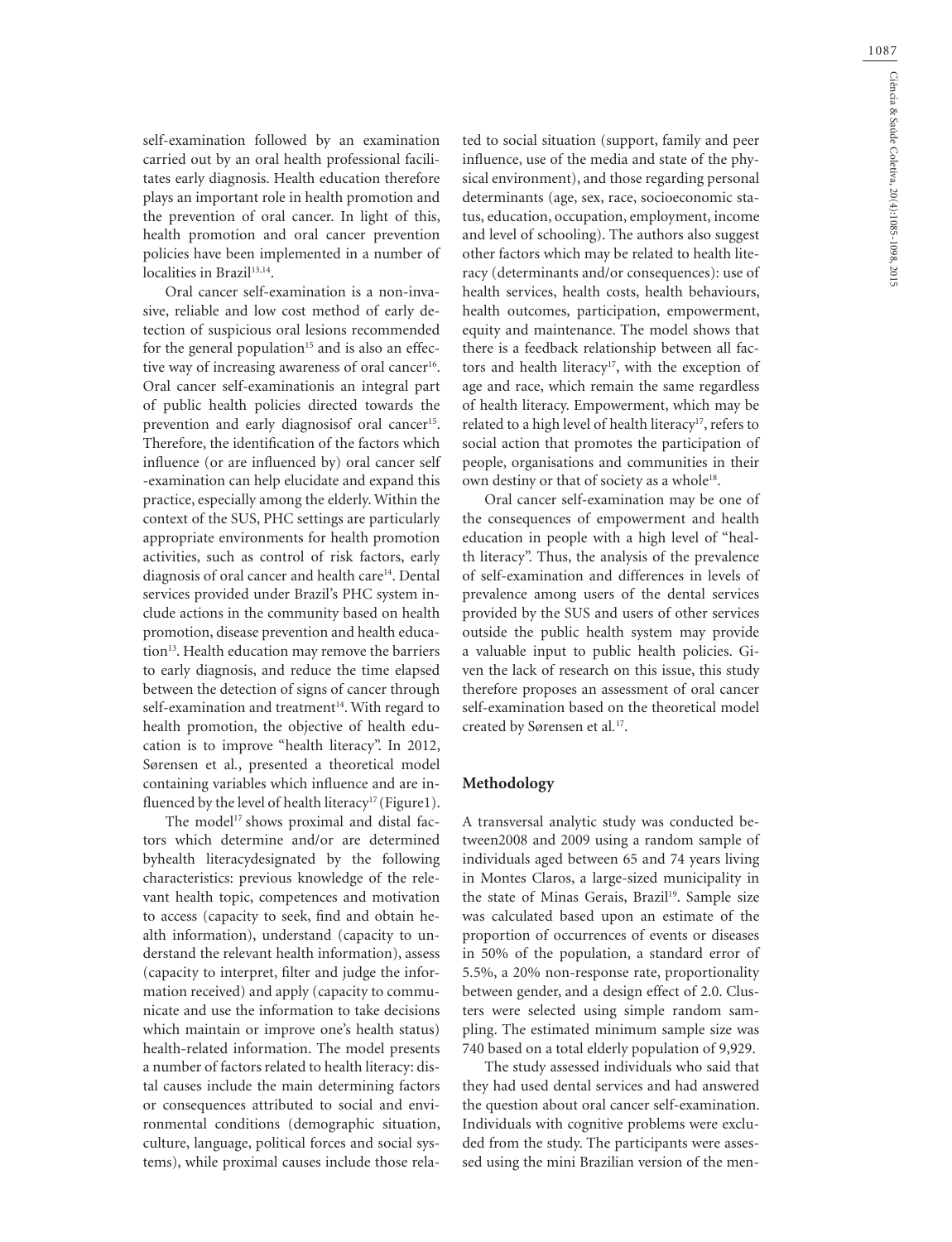1087

self-examination followed by an examination carried out by an oral health professional facilitates early diagnosis. Health education therefore plays an important role in health promotion and the prevention of oral cancer. In light of this, health promotion and oral cancer prevention policies have been implemented in a number of localities in Brazil<sup>13,14</sup>.

Oral cancer self-examination is a non-invasive, reliable and low cost method of early detection of suspicious oral lesions recommended for the general population<sup>15</sup> and is also an effective way of increasing awareness of oral cancer<sup>16</sup>. Oral cancer self-examinationis an integral part of public health policies directed towards the prevention and early diagnosisof oral cancer<sup>15</sup>. Therefore, the identification of the factors which influence (or are influenced by) oral cancer self -examination can help elucidate and expand this practice, especially among the elderly. Within the context of the SUS, PHC settings are particularly appropriate environments for health promotion activities, such as control of risk factors, early diagnosis of oral cancer and health care<sup>14</sup>. Dental services provided under Brazil's PHC system include actions in the community based on health promotion, disease prevention and health education<sup>13</sup>. Health education may remove the barriers to early diagnosis, and reduce the time elapsed between the detection of signs of cancer through self-examination and treatment<sup>14</sup>. With regard to health promotion, the objective of health education is to improve "health literacy". In 2012, Sørensen et al*.*, presented a theoretical model containing variables which influence and are influenced by the level of health literacy<sup>17</sup> (Figure1).

The model<sup>17</sup> shows proximal and distal factors which determine and/or are determined byhealth literacydesignated by the following characteristics: previous knowledge of the relevant health topic, competences and motivation to access (capacity to seek, find and obtain health information), understand (capacity to understand the relevant health information), assess (capacity to interpret, filter and judge the information received) and apply (capacity to communicate and use the information to take decisions which maintain or improve one's health status) health-related information. The model presents a number of factors related to health literacy: distal causes include the main determining factors or consequences attributed to social and environmental conditions (demographic situation, culture, language, political forces and social systems), while proximal causes include those related to social situation (support, family and peer influence, use of the media and state of the physical environment), and those regarding personal determinants (age, sex, race, socioeconomic status, education, occupation, employment, income and level of schooling). The authors also suggest other factors which may be related to health literacy (determinants and/or consequences): use of health services, health costs, health behaviours, health outcomes, participation, empowerment, equity and maintenance. The model shows that there is a feedback relationship between all factors and health literacy<sup>17</sup>, with the exception of age and race, which remain the same regardless of health literacy. Empowerment, which may be related to a high level of health literacy<sup>17</sup>, refers to social action that promotes the participation of people, organisations and communities in their own destiny or that of society as a whole<sup>18</sup>.

Oral cancer self-examination may be one of the consequences of empowerment and health education in people with a high level of "health literacy". Thus, the analysis of the prevalence of self-examination and differences in levels of prevalence among users of the dental services provided by the SUS and users of other services outside the public health system may provide a valuable input to public health policies. Given the lack of research on this issue, this study therefore proposes an assessment of oral cancer self-examination based on the theoretical model created by Sørensen et al*.* 17.

## **Methodology**

A transversal analytic study was conducted between2008 and 2009 using a random sample of individuals aged between 65 and 74 years living in Montes Claros, a large-sized municipality in the state of Minas Gerais, Brazil<sup>19</sup>. Sample size was calculated based upon an estimate of the proportion of occurrences of events or diseases in 50% of the population, a standard error of 5.5%, a 20% non-response rate, proportionality between gender, and a design effect of 2.0. Clusters were selected using simple random sampling. The estimated minimum sample size was 740 based on a total elderly population of 9,929.

The study assessed individuals who said that they had used dental services and had answered the question about oral cancer self-examination. Individuals with cognitive problems were excluded from the study. The participants were assessed using the mini Brazilian version of the men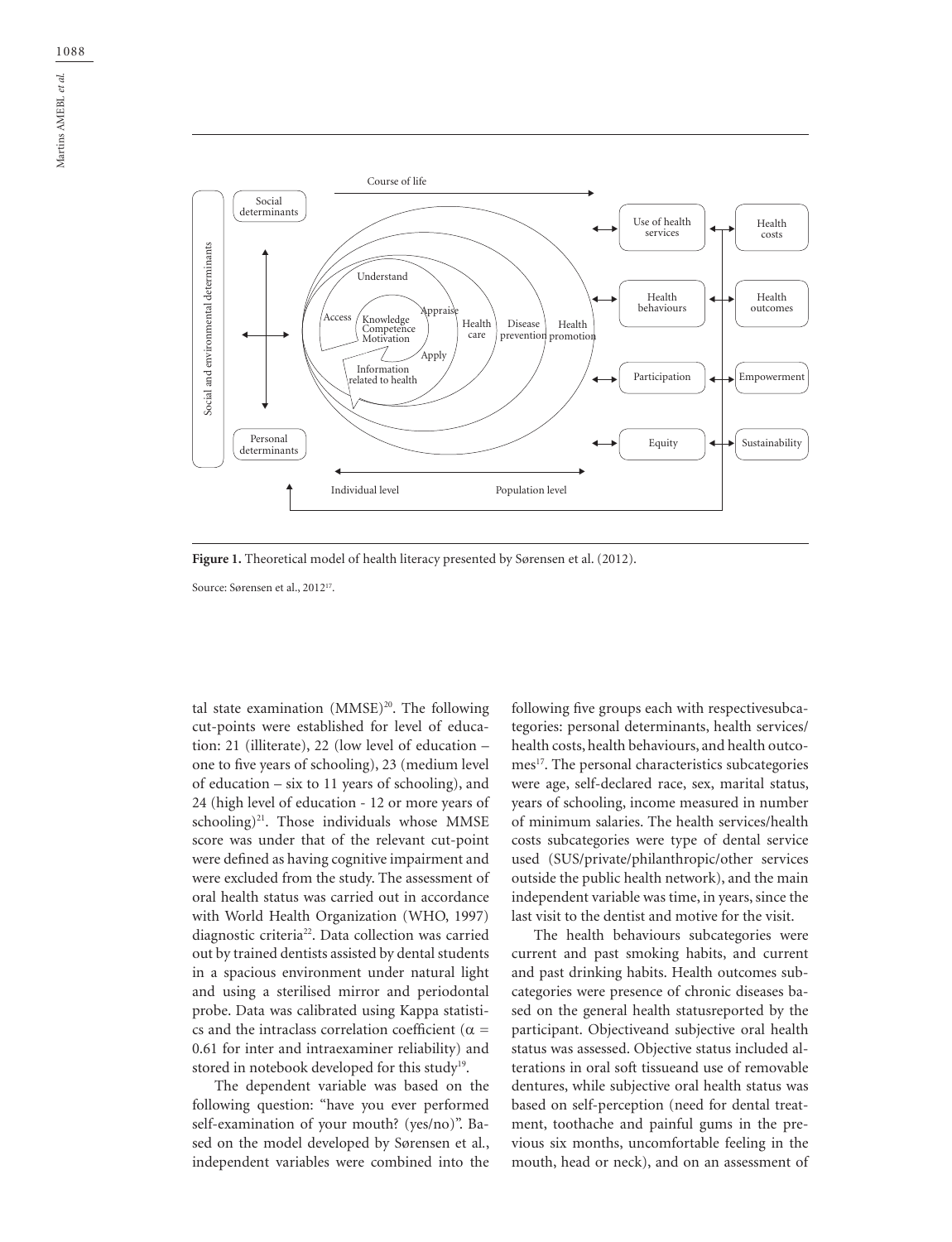1088



**Figure 1.** Theoretical model of health literacy presented by Sørensen et al. (2012).

Source: Sørensen et al., 2012<sup>17</sup>.

tal state examination (MMSE)<sup>20</sup>. The following cut-points were established for level of education: 21 (illiterate), 22 (low level of education – one to five years of schooling), 23 (medium level of education – six to 11 years of schooling), and 24 (high level of education - 12 or more years of schooling)<sup>21</sup>. Those individuals whose MMSE score was under that of the relevant cut-point were defined as having cognitive impairment and were excluded from the study. The assessment of oral health status was carried out in accordance with World Health Organization (WHO, 1997) diagnostic criteria<sup>22</sup>. Data collection was carried out by trained dentists assisted by dental students in a spacious environment under natural light and using a sterilised mirror and periodontal probe. Data was calibrated using Kappa statistics and the intraclass correlation coefficient ( $\alpha$  = 0.61 for inter and intraexaminer reliability) and stored in notebook developed for this study<sup>19</sup>.

The dependent variable was based on the following question: "have you ever performed self-examination of your mouth? (yes/no)". Based on the model developed by Sørensen et al*.*, independent variables were combined into the

following five groups each with respectivesubcategories: personal determinants, health services/ health costs, health behaviours, and health outcomes<sup>17</sup>. The personal characteristics subcategories were age, self-declared race, sex, marital status, years of schooling, income measured in number of minimum salaries. The health services/health costs subcategories were type of dental service used (SUS/private/philanthropic/other services outside the public health network), and the main independent variable was time, in years, since the last visit to the dentist and motive for the visit.

The health behaviours subcategories were current and past smoking habits, and current and past drinking habits. Health outcomes subcategories were presence of chronic diseases based on the general health statusreported by the participant. Objectiveand subjective oral health status was assessed. Objective status included alterations in oral soft tissueand use of removable dentures, while subjective oral health status was based on self-perception (need for dental treatment, toothache and painful gums in the previous six months, uncomfortable feeling in the mouth, head or neck), and on an assessment of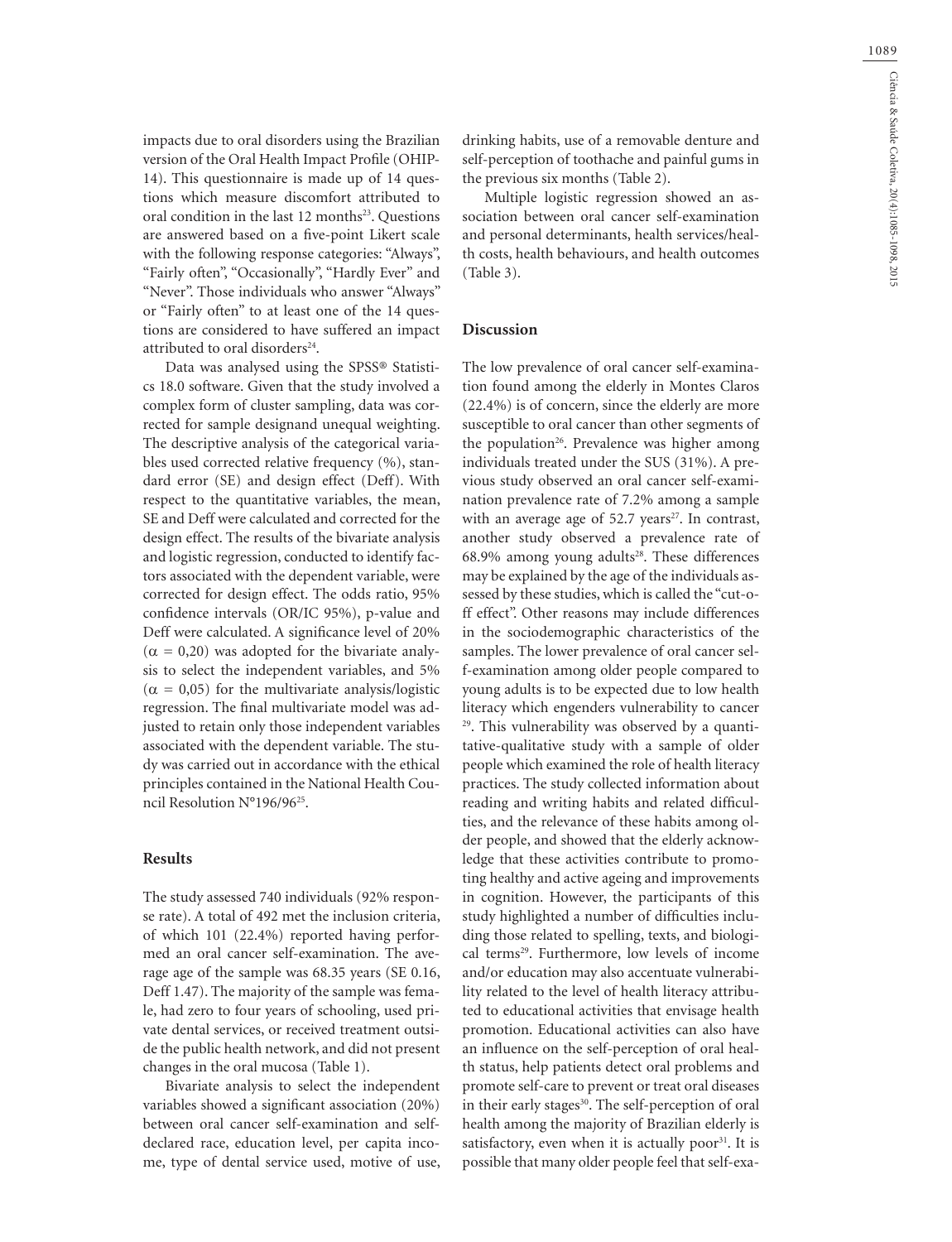impacts due to oral disorders using the Brazilian version of the Oral Health Impact Profile (OHIP-14). This questionnaire is made up of 14 questions which measure discomfort attributed to oral condition in the last 12 months<sup>23</sup>. Questions are answered based on a five-point Likert scale with the following response categories: "Always", "Fairly often", "Occasionally", "Hardly Ever" and "Never". Those individuals who answer "Always" or "Fairly often" to at least one of the 14 questions are considered to have suffered an impact attributed to oral disorders<sup>24</sup>.

Data was analysed using the SPSS® Statistics 18.0 software. Given that the study involved a complex form of cluster sampling, data was corrected for sample designand unequal weighting. The descriptive analysis of the categorical variables used corrected relative frequency (%), standard error (SE) and design effect (Deff). With respect to the quantitative variables, the mean, SE and Deff were calculated and corrected for the design effect. The results of the bivariate analysis and logistic regression, conducted to identify factors associated with the dependent variable, were corrected for design effect. The odds ratio, 95% confidence intervals (OR/IC 95%), p-value and Deff were calculated. A significance level of 20%  $(\alpha = 0.20)$  was adopted for the bivariate analysis to select the independent variables, and 5%  $(\alpha = 0.05)$  for the multivariate analysis/logistic regression. The final multivariate model was adjusted to retain only those independent variables associated with the dependent variable. The study was carried out in accordance with the ethical principles contained in the National Health Council Resolution N°196/96<sup>25</sup>.

## **Results**

The study assessed 740 individuals (92% response rate). A total of 492 met the inclusion criteria, of which 101 (22.4%) reported having performed an oral cancer self-examination. The average age of the sample was 68.35 years (SE 0.16, Deff 1.47). The majority of the sample was female, had zero to four years of schooling, used private dental services, or received treatment outside the public health network, and did not present changes in the oral mucosa (Table 1).

Bivariate analysis to select the independent variables showed a significant association (20%) between oral cancer self-examination and selfdeclared race, education level, per capita income, type of dental service used, motive of use, drinking habits, use of a removable denture and self-perception of toothache and painful gums in the previous six months (Table 2).

Multiple logistic regression showed an association between oral cancer self-examination and personal determinants, health services/health costs, health behaviours, and health outcomes (Table 3).

### **Discussion**

The low prevalence of oral cancer self-examination found among the elderly in Montes Claros (22.4%) is of concern, since the elderly are more susceptible to oral cancer than other segments of the population<sup>26</sup>. Prevalence was higher among individuals treated under the SUS (31%). A previous study observed an oral cancer self-examination prevalence rate of 7.2% among a sample with an average age of  $52.7$  years<sup>27</sup>. In contrast, another study observed a prevalence rate of 68.9% among young adults<sup>28</sup>. These differences may be explained by the age of the individuals assessed by these studies, which is called the "cut-off effect". Other reasons may include differences in the sociodemographic characteristics of the samples. The lower prevalence of oral cancer self-examination among older people compared to young adults is to be expected due to low health literacy which engenders vulnerability to cancer 29. This vulnerability was observed by a quantitative-qualitative study with a sample of older people which examined the role of health literacy practices. The study collected information about reading and writing habits and related difficulties, and the relevance of these habits among older people, and showed that the elderly acknowledge that these activities contribute to promoting healthy and active ageing and improvements in cognition. However, the participants of this study highlighted a number of difficulties including those related to spelling, texts, and biological terms29. Furthermore, low levels of income and/or education may also accentuate vulnerability related to the level of health literacy attributed to educational activities that envisage health promotion. Educational activities can also have an influence on the self-perception of oral health status, help patients detect oral problems and promote self-care to prevent or treat oral diseases in their early stages<sup>30</sup>. The self-perception of oral health among the majority of Brazilian elderly is satisfactory, even when it is actually poor $31$ . It is possible that many older people feel that self-exa-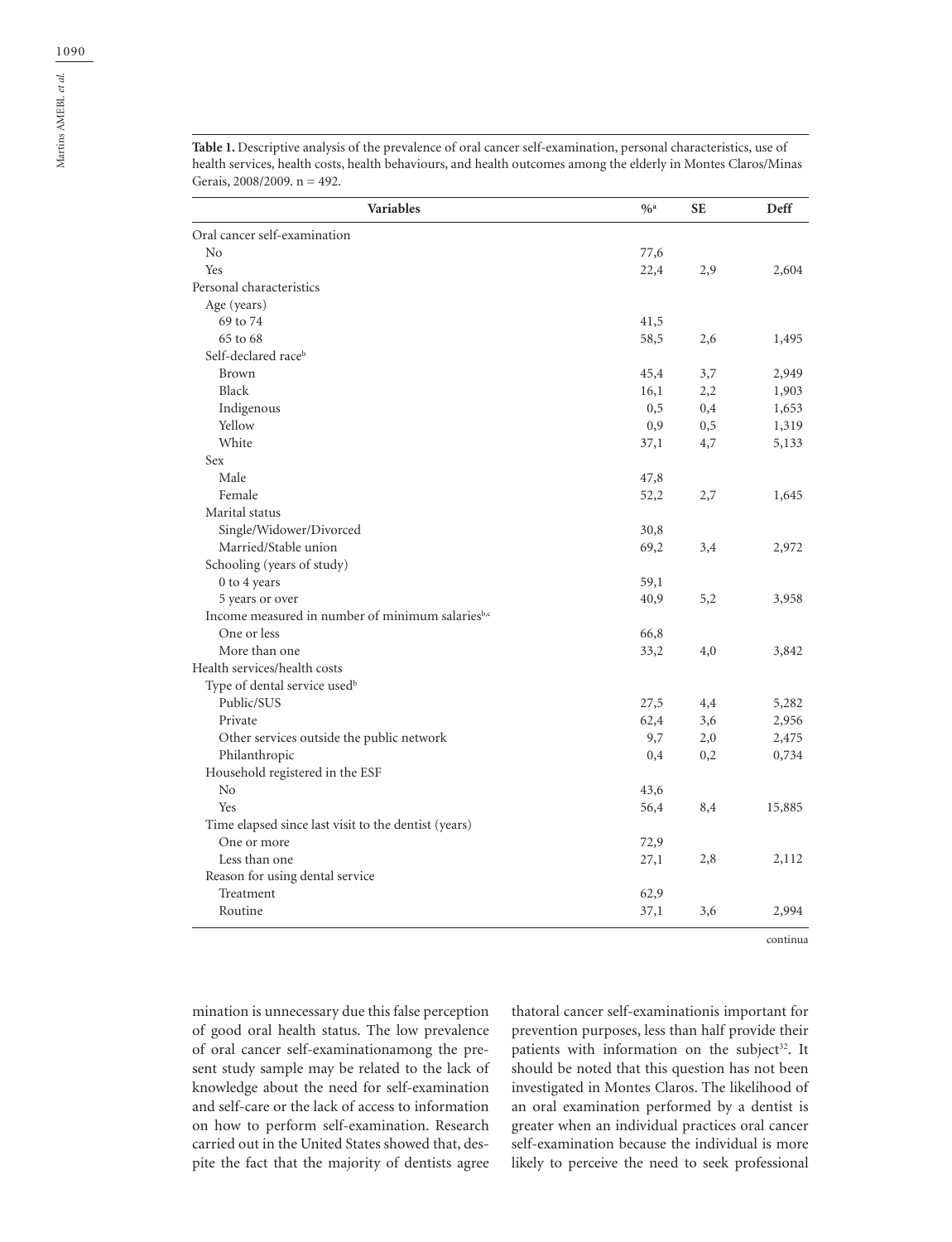| <b>Variables</b>                                     | $\%$ <sup>a</sup> | <b>SE</b> | Deff   |
|------------------------------------------------------|-------------------|-----------|--------|
| Oral cancer self-examination                         |                   |           |        |
| N <sub>0</sub>                                       | 77,6              |           |        |
| Yes                                                  | 22,4              | 2,9       | 2,604  |
| Personal characteristics                             |                   |           |        |
| Age (years)                                          |                   |           |        |
| 69 to 74                                             | 41,5              |           |        |
| 65 to 68                                             | 58,5              | 2,6       | 1,495  |
| Self-declared race <sup>b</sup>                      |                   |           |        |
| <b>Brown</b>                                         | 45,4              | 3,7       | 2,949  |
| Black                                                | 16,1              | 2,2       | 1,903  |
| Indigenous                                           | 0,5               | 0,4       | 1,653  |
| Yellow                                               | 0,9               | 0,5       | 1,319  |
| White                                                | 37,1              | 4,7       | 5,133  |
| Sex                                                  |                   |           |        |
| Male                                                 | 47,8              |           |        |
| Female                                               | 52,2              | 2,7       | 1,645  |
| Marital status                                       |                   |           |        |
| Single/Widower/Divorced                              | 30,8              |           |        |
| Married/Stable union                                 | 69,2              | 3,4       | 2,972  |
| Schooling (years of study)                           |                   |           |        |
| 0 to 4 years                                         | 59,1              |           |        |
| 5 years or over                                      | 40,9              | 5,2       | 3,958  |
| Income measured in number of minimum salariesb,c     |                   |           |        |
| One or less                                          | 66,8              |           |        |
| More than one                                        | 33,2              | 4,0       | 3,842  |
| Health services/health costs                         |                   |           |        |
| Type of dental service used <sup>b</sup>             |                   |           |        |
| Public/SUS                                           | 27,5              | 4,4       | 5,282  |
| Private                                              | 62,4              | 3,6       | 2,956  |
| Other services outside the public network            | 9,7               | 2,0       | 2,475  |
| Philanthropic                                        | 0,4               | 0,2       | 0,734  |
| Household registered in the ESF                      |                   |           |        |
| No                                                   | 43,6              |           |        |
| Yes                                                  | 56,4              | 8,4       | 15,885 |
| Time elapsed since last visit to the dentist (years) |                   |           |        |
| One or more                                          | 72,9              |           |        |
| Less than one                                        | 27,1              | 2,8       | 2,112  |
| Reason for using dental service                      |                   |           |        |
| Treatment                                            | 62,9              |           |        |
| Routine                                              | 37,1              | 3,6       | 2,994  |

**Table 1.** Descriptive analysis of the prevalence of oral cancer self-examination, personal characteristics, use of health services, health costs, health behaviours, and health outcomes among the elderly in Montes Claros/Minas Gerais, 2008/2009. n = 492.

continua

mination is unnecessary due this false perception of good oral health status. The low prevalence of oral cancer self-examinationamong the present study sample may be related to the lack of knowledge about the need for self-examination and self-care or the lack of access to information on how to perform self-examination. Research carried out in the United States showed that, despite the fact that the majority of dentists agree

thatoral cancer self-examinationis important for prevention purposes, less than half provide their patients with information on the subject<sup>32</sup>. It should be noted that this question has not been investigated in Montes Claros. The likelihood of an oral examination performed by a dentist is greater when an individual practices oral cancer self-examination because the individual is more likely to perceive the need to seek professional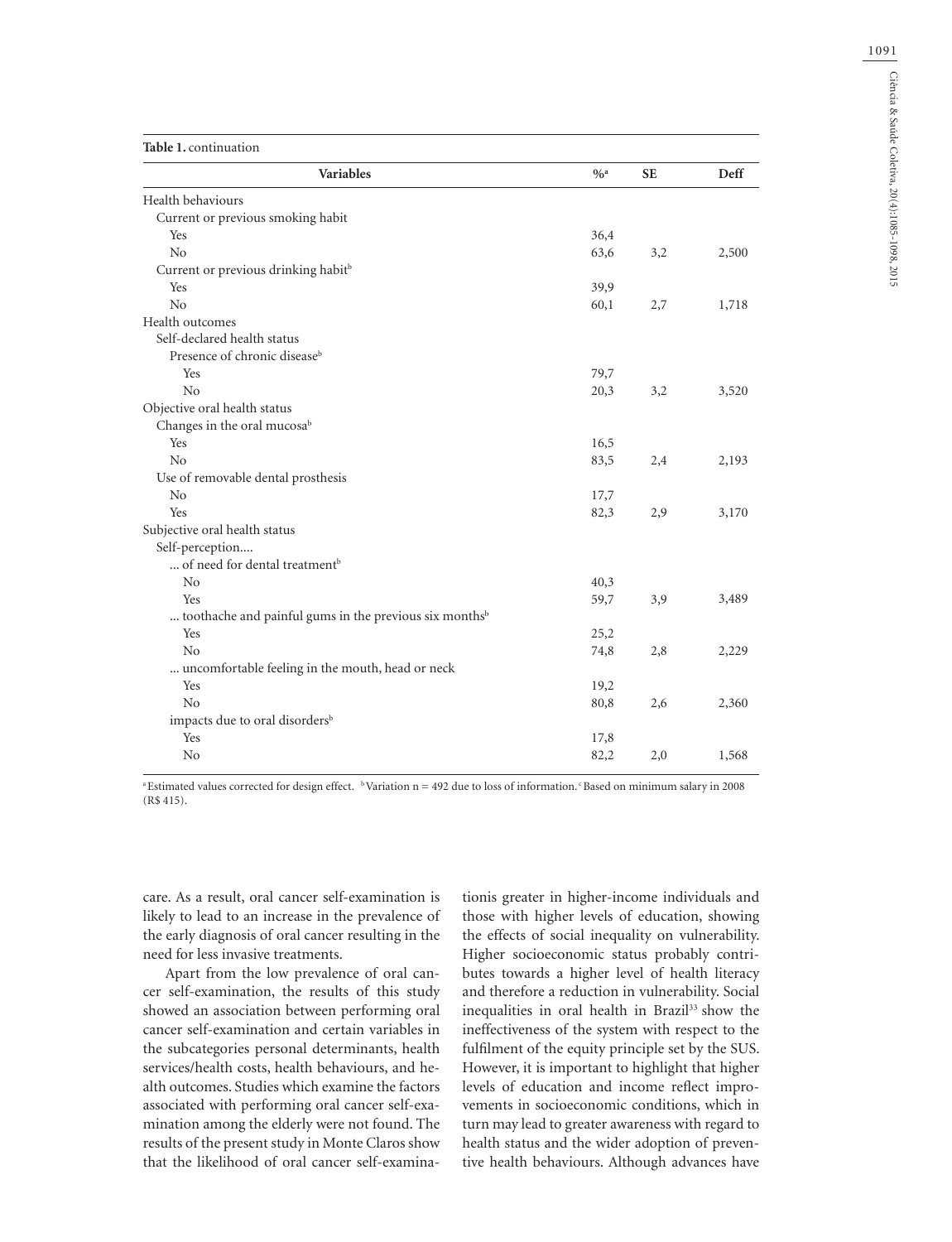| <b>Table 1.</b> continuation                    |  |
|-------------------------------------------------|--|
| <b>Variables</b>                                |  |
| Health behaviours                               |  |
| Current or previous smoking habit               |  |
| Yes                                             |  |
| No                                              |  |
| Current or previous drinking habit <sup>b</sup> |  |
| <b>Yes</b>                                      |  |
| No                                              |  |
| 11. J.L.                                        |  |

| No                                                                 | 63,6 | 3,2 | 2,500 |
|--------------------------------------------------------------------|------|-----|-------|
| Current or previous drinking habit <sup>b</sup>                    |      |     |       |
| Yes                                                                | 39,9 |     |       |
| No                                                                 | 60,1 | 2,7 | 1,718 |
| Health outcomes                                                    |      |     |       |
| Self-declared health status                                        |      |     |       |
| Presence of chronic disease <sup>b</sup>                           |      |     |       |
| Yes                                                                | 79,7 |     |       |
| N <sub>o</sub>                                                     | 20,3 | 3,2 | 3,520 |
| Objective oral health status                                       |      |     |       |
| Changes in the oral mucosab                                        |      |     |       |
| Yes                                                                | 16,5 |     |       |
| No                                                                 | 83,5 | 2,4 | 2,193 |
| Use of removable dental prosthesis                                 |      |     |       |
| No                                                                 | 17,7 |     |       |
| Yes                                                                | 82,3 | 2,9 | 3,170 |
| Subjective oral health status                                      |      |     |       |
| Self-perception                                                    |      |     |       |
| of need for dental treatment <sup>b</sup>                          |      |     |       |
| N <sub>o</sub>                                                     | 40,3 |     |       |
| Yes                                                                | 59,7 | 3,9 | 3,489 |
| toothache and painful gums in the previous six months <sup>b</sup> |      |     |       |
| Yes                                                                | 25,2 |     |       |
| No                                                                 | 74,8 | 2,8 | 2,229 |
| uncomfortable feeling in the mouth, head or neck                   |      |     |       |
| Yes                                                                | 19,2 |     |       |
| No                                                                 | 80,8 | 2,6 | 2,360 |
| impacts due to oral disorders <sup>b</sup>                         |      |     |       |
| Yes                                                                | 17,8 |     |       |
| No                                                                 | 82,2 | 2,0 | 1,568 |
|                                                                    |      |     |       |

<sup>a</sup> Estimated values corrected for design effect.  $\frac{b}{}$ Variation n = 492 due to loss of information. <sup>c</sup> Based on minimum salary in 2008 (R\$ 415).

care. As a result, oral cancer self-examination is likely to lead to an increase in the prevalence of the early diagnosis of oral cancer resulting in the need for less invasive treatments.

Apart from the low prevalence of oral cancer self-examination, the results of this study showed an association between performing oral cancer self-examination and certain variables in the subcategories personal determinants, health services/health costs, health behaviours, and health outcomes. Studies which examine the factors associated with performing oral cancer self-examination among the elderly were not found. The results of the present study in Monte Claros show that the likelihood of oral cancer self-examina-

tionis greater in higher-income individuals and those with higher levels of education, showing the effects of social inequality on vulnerability. Higher socioeconomic status probably contributes towards a higher level of health literacy and therefore a reduction in vulnerability. Social inequalities in oral health in Brazil<sup>33</sup> show the ineffectiveness of the system with respect to the fulfilment of the equity principle set by the SUS. However, it is important to highlight that higher levels of education and income reflect improvements in socioeconomic conditions, which in turn may lead to greater awareness with regard to health status and the wider adoption of preventive health behaviours. Although advances have

**%a**

**SE**

**Deff**

36,4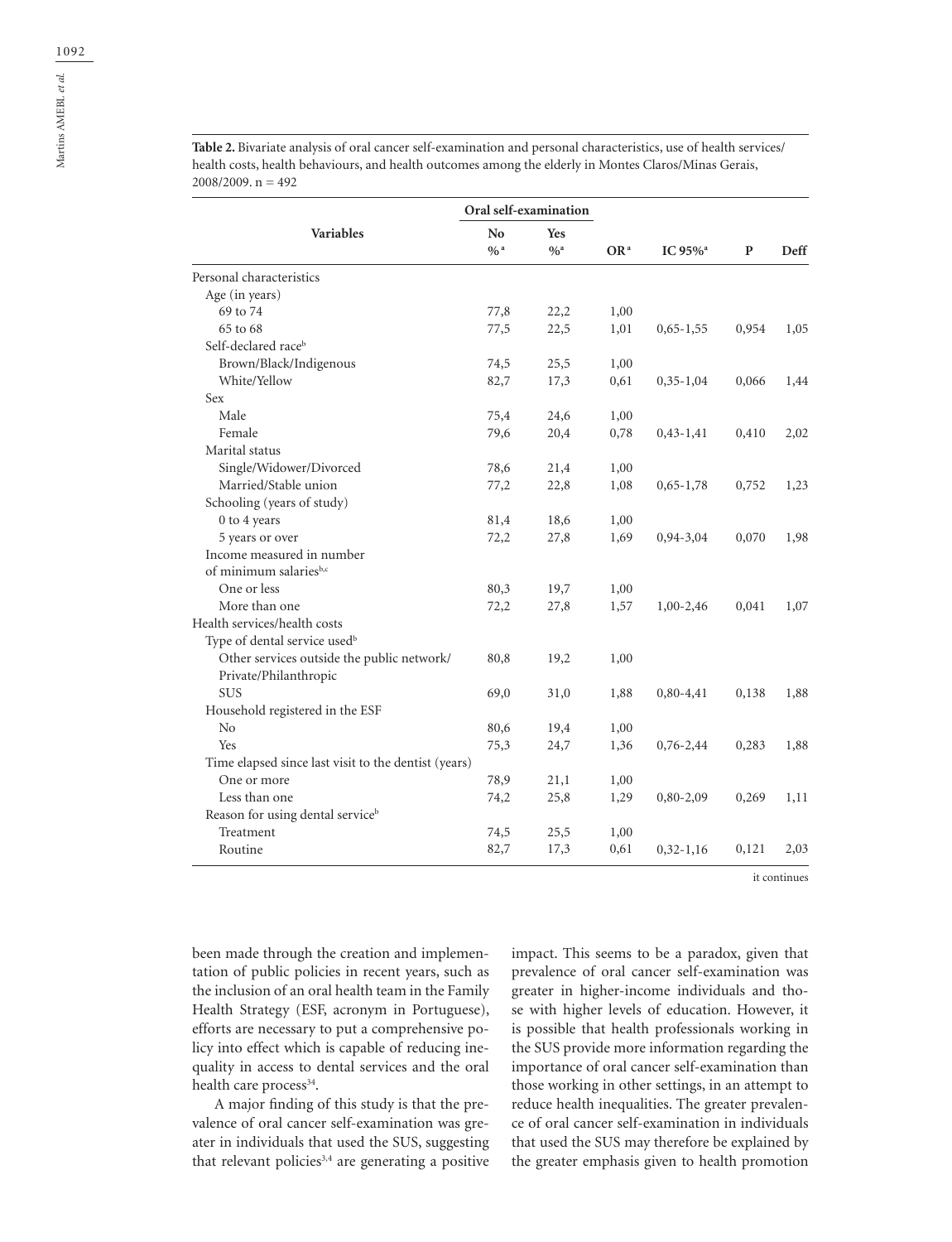**Table 2.** Bivariate analysis of oral cancer self-examination and personal characteristics, use of health services/ health costs, health behaviours, and health outcomes among the elderly in Montes Claros/Minas Gerais,  $2008/2009$ . n = 492

|                                                      | Oral self-examination |                 |                 |                        |       |      |
|------------------------------------------------------|-----------------------|-----------------|-----------------|------------------------|-------|------|
| <b>Variables</b>                                     | N <sub>o</sub>        | <b>Yes</b>      |                 |                        |       |      |
|                                                      | $\frac{0}{0}$ a       | $\frac{0}{0}$ a | OR <sup>a</sup> | IC $95\%$ <sup>a</sup> | P     | Deff |
| Personal characteristics                             |                       |                 |                 |                        |       |      |
| Age (in years)                                       |                       |                 |                 |                        |       |      |
| 69 to 74                                             | 77,8                  | 22,2            | 1,00            |                        |       |      |
| 65 to 68                                             | 77,5                  | 22,5            | 1,01            | $0,65-1,55$            | 0,954 | 1,05 |
| Self-declared raceb                                  |                       |                 |                 |                        |       |      |
| Brown/Black/Indigenous                               | 74,5                  | 25,5            | 1,00            |                        |       |      |
| White/Yellow                                         | 82,7                  | 17,3            | 0,61            | $0,35-1,04$            | 0,066 | 1,44 |
| Sex                                                  |                       |                 |                 |                        |       |      |
| Male                                                 | 75,4                  | 24,6            | 1,00            |                        |       |      |
| Female                                               | 79,6                  | 20,4            | 0,78            | $0,43-1,41$            | 0,410 | 2,02 |
| Marital status                                       |                       |                 |                 |                        |       |      |
| Single/Widower/Divorced                              | 78,6                  | 21,4            | 1,00            |                        |       |      |
| Married/Stable union                                 | 77,2                  | 22,8            | 1,08            | $0,65-1,78$            | 0,752 | 1,23 |
| Schooling (years of study)                           |                       |                 |                 |                        |       |      |
| 0 to 4 years                                         | 81,4                  | 18,6            | 1,00            |                        |       |      |
| 5 years or over                                      | 72,2                  | 27,8            | 1,69            | $0,94-3,04$            | 0,070 | 1,98 |
| Income measured in number                            |                       |                 |                 |                        |       |      |
| of minimum salariesb,c                               |                       |                 |                 |                        |       |      |
| One or less                                          | 80,3                  | 19,7            | 1,00            |                        |       |      |
| More than one                                        | 72,2                  | 27,8            | 1,57            | $1,00-2,46$            | 0,041 | 1,07 |
| Health services/health costs                         |                       |                 |                 |                        |       |      |
| Type of dental service used <sup>b</sup>             |                       |                 |                 |                        |       |      |
| Other services outside the public network/           | 80,8                  | 19,2            | 1,00            |                        |       |      |
| Private/Philanthropic                                |                       |                 |                 |                        |       |      |
| <b>SUS</b>                                           | 69,0                  | 31,0            | 1,88            | $0,80-4,41$            | 0,138 | 1,88 |
| Household registered in the ESF                      |                       |                 |                 |                        |       |      |
| No                                                   | 80,6                  | 19,4            | 1,00            |                        |       |      |
| Yes                                                  | 75,3                  | 24,7            | 1,36            | $0,76 - 2,44$          | 0,283 | 1,88 |
| Time elapsed since last visit to the dentist (years) |                       |                 |                 |                        |       |      |
| One or more                                          | 78,9                  | 21,1            | 1,00            |                        |       |      |
| Less than one                                        | 74,2                  | 25,8            | 1,29            | $0,80-2,09$            | 0,269 | 1,11 |
| Reason for using dental service <sup>b</sup>         |                       |                 |                 |                        |       |      |
| Treatment                                            | 74,5                  | 25,5            | 1,00            |                        |       |      |
| Routine                                              | 82,7                  | 17,3            | 0,61            | $0,32-1,16$            | 0,121 | 2,03 |

it continues

been made through the creation and implementation of public policies in recent years, such as the inclusion of an oral health team in the Family Health Strategy (ESF, acronym in Portuguese), efforts are necessary to put a comprehensive policy into effect which is capable of reducing inequality in access to dental services and the oral health care process<sup>34</sup>.

A major finding of this study is that the prevalence of oral cancer self-examination was greater in individuals that used the SUS, suggesting that relevant policies<sup>3,4</sup> are generating a positive

impact. This seems to be a paradox, given that prevalence of oral cancer self-examination was greater in higher-income individuals and those with higher levels of education. However, it is possible that health professionals working in the SUS provide more information regarding the importance of oral cancer self-examination than those working in other settings, in an attempt to reduce health inequalities. The greater prevalence of oral cancer self-examination in individuals that used the SUS may therefore be explained by the greater emphasis given to health promotion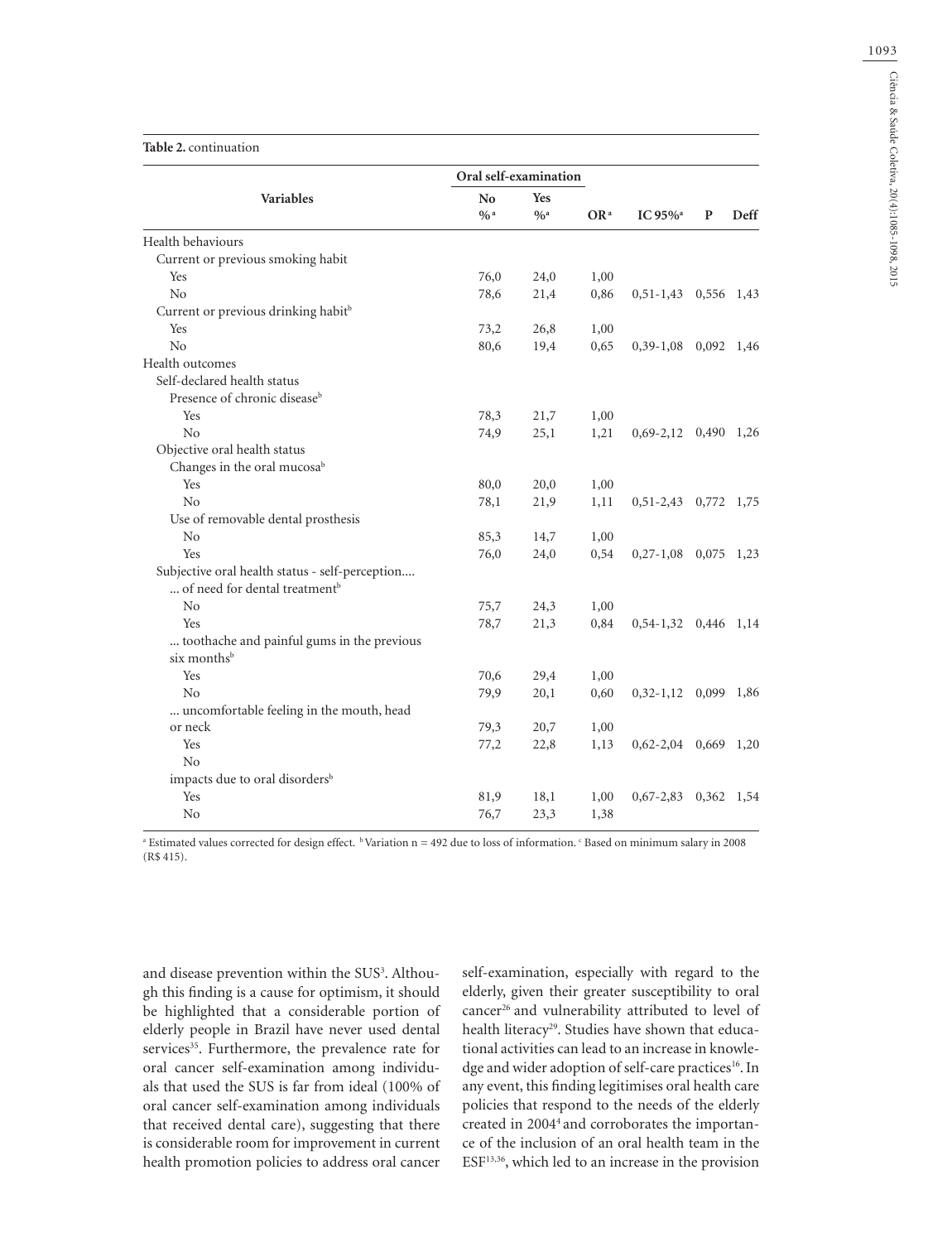|                                                 |                       | Oral self-examination |                 |                          |   |             |
|-------------------------------------------------|-----------------------|-----------------------|-----------------|--------------------------|---|-------------|
| <b>Variables</b>                                | N <sub>o</sub><br>Yes |                       |                 |                          |   |             |
|                                                 | $\frac{0}{0}$ a       | $\frac{0}{a}$         | OR <sup>a</sup> | IC $95\%$ <sup>a</sup>   | P | <b>Deff</b> |
| Health behaviours                               |                       |                       |                 |                          |   |             |
| Current or previous smoking habit               |                       |                       |                 |                          |   |             |
| Yes                                             | 76,0                  | 24,0                  | 1,00            |                          |   |             |
| No                                              | 78,6                  | 21,4                  | 0,86            | $0,51-1,43$ $0,556$ 1,43 |   |             |
| Current or previous drinking habit <sup>b</sup> |                       |                       |                 |                          |   |             |
| Yes                                             | 73,2                  | 26,8                  | 1,00            |                          |   |             |
| No                                              | 80,6                  | 19,4                  | 0,65            | 0,39-1,08 0,092 1,46     |   |             |
| Health outcomes                                 |                       |                       |                 |                          |   |             |
| Self-declared health status                     |                       |                       |                 |                          |   |             |
| Presence of chronic disease <sup>b</sup>        |                       |                       |                 |                          |   |             |
| Yes                                             | 78,3                  | 21,7                  | 1,00            |                          |   |             |
| No                                              | 74,9                  | 25,1                  | 1,21            | $0,69-2,12$ $0,490$ 1,26 |   |             |
| Objective oral health status                    |                       |                       |                 |                          |   |             |
| Changes in the oral mucosab                     |                       |                       |                 |                          |   |             |
| Yes                                             | 80,0                  | 20,0                  | 1,00            |                          |   |             |
| No                                              | 78,1                  | 21,9                  | 1,11            | $0,51-2,43$ $0,772$ 1,75 |   |             |
| Use of removable dental prosthesis              |                       |                       |                 |                          |   |             |
| No                                              | 85,3                  | 14,7                  | 1,00            |                          |   |             |
| Yes                                             | 76,0                  | 24,0                  | 0,54            | $0,27-1,08$ $0,075$ 1,23 |   |             |
| Subjective oral health status - self-perception |                       |                       |                 |                          |   |             |
| of need for dental treatment <sup>b</sup>       |                       |                       |                 |                          |   |             |
| No                                              | 75,7                  | 24,3                  | 1,00            |                          |   |             |
| Yes                                             | 78,7                  | 21,3                  | 0,84            | $0,54-1,32$ $0,446$ 1,14 |   |             |
| toothache and painful gums in the previous      |                       |                       |                 |                          |   |             |
| six months <sup>b</sup>                         |                       |                       |                 |                          |   |             |
| Yes                                             | 70,6                  | 29,4                  | 1,00            |                          |   |             |
| No                                              | 79,9                  | 20,1                  | 0,60            | $0,32-1,12$ $0,099$ 1,86 |   |             |
| uncomfortable feeling in the mouth, head        |                       |                       |                 |                          |   |             |
| or neck                                         | 79,3                  | 20,7                  | 1,00            |                          |   |             |
| Yes                                             | 77,2                  | 22,8                  | 1,13            | $0,62-2,04$ $0,669$ 1,20 |   |             |
| No                                              |                       |                       |                 |                          |   |             |
| impacts due to oral disorders <sup>b</sup>      |                       |                       |                 |                          |   |             |
| Yes                                             | 81,9                  | 18,1                  | 1,00            | $0,67-2,83$ $0,362$ 1,54 |   |             |
| No                                              | 76,7                  | 23,3                  | 1,38            |                          |   |             |

a Estimated values corrected for design effect. b Variation n = 492 due to loss of information. c Based on minimum salary in 2008 (R\$ 415).

and disease prevention within the SUS<sup>3</sup>. Although this finding is a cause for optimism, it should be highlighted that a considerable portion of elderly people in Brazil have never used dental services<sup>35</sup>. Furthermore, the prevalence rate for oral cancer self-examination among individuals that used the SUS is far from ideal (100% of oral cancer self-examination among individuals that received dental care), suggesting that there is considerable room for improvement in current health promotion policies to address oral cancer

self-examination, especially with regard to the elderly, given their greater susceptibility to oral cancer<sup>26</sup> and vulnerability attributed to level of health literacy<sup>29</sup>. Studies have shown that educational activities can lead to an increase in knowledge and wider adoption of self-care practices<sup>16</sup>. In any event, this finding legitimises oral health care policies that respond to the needs of the elderly created in 2004<sup>4</sup> and corroborates the importance of the inclusion of an oral health team in the ESF13,36, which led to an increase in the provision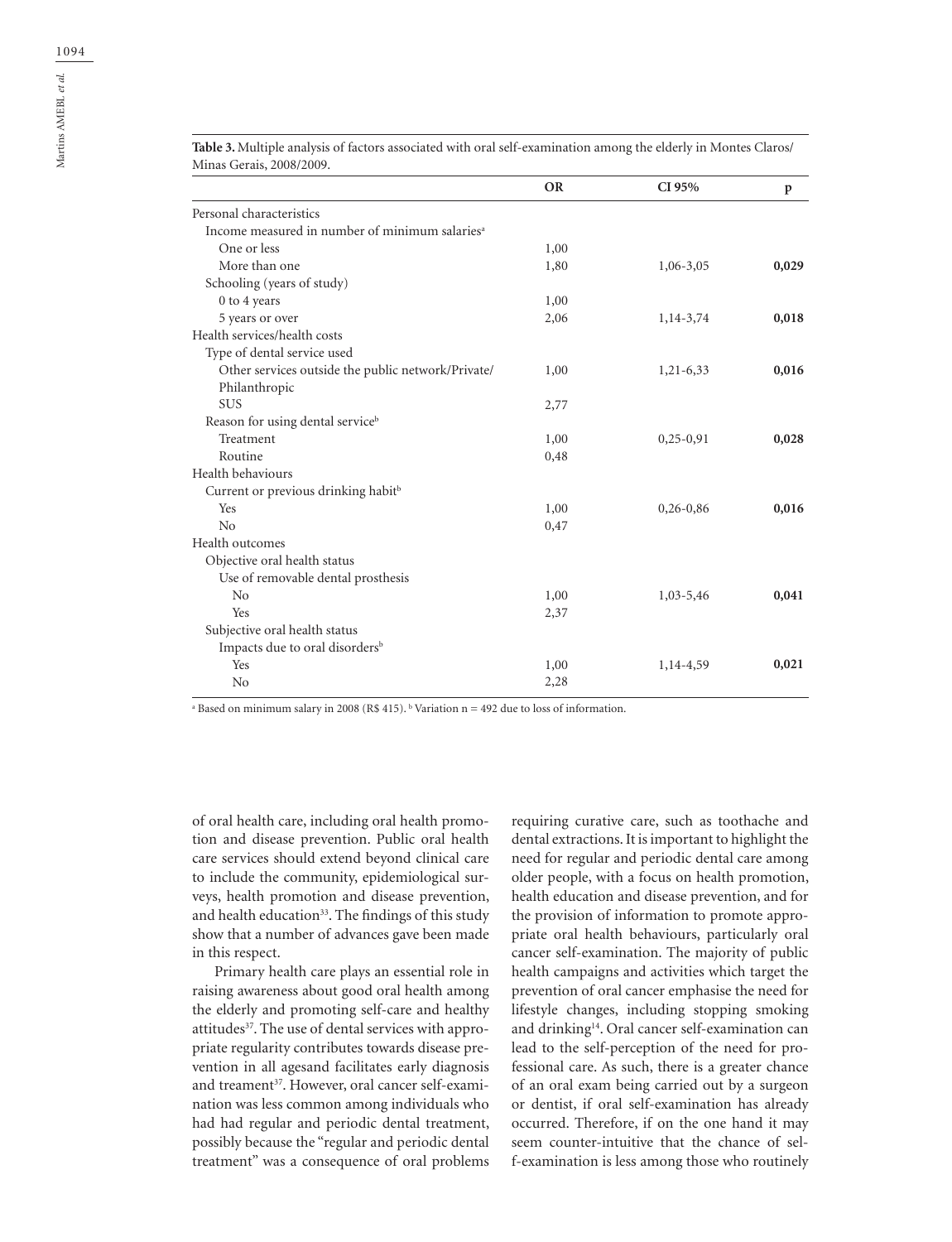Martins AMEBL *et al.*

|                                                            | <b>OR</b> | CI 95%      | $\mathbf{p}$ |
|------------------------------------------------------------|-----------|-------------|--------------|
| Personal characteristics                                   |           |             |              |
| Income measured in number of minimum salaries <sup>a</sup> |           |             |              |
| One or less                                                | 1,00      |             |              |
| More than one                                              | 1,80      | $1,06-3,05$ | 0,029        |
| Schooling (years of study)                                 |           |             |              |
| 0 to 4 years                                               | 1,00      |             |              |
| 5 years or over                                            | 2,06      | 1,14-3,74   | 0,018        |
| Health services/health costs                               |           |             |              |
| Type of dental service used                                |           |             |              |
| Other services outside the public network/Private/         | 1,00      | $1,21-6,33$ | 0,016        |
| Philanthropic                                              |           |             |              |
| <b>SUS</b>                                                 | 2,77      |             |              |
| Reason for using dental service <sup>b</sup>               |           |             |              |
| Treatment                                                  | 1,00      | $0,25-0,91$ | 0,028        |
| Routine                                                    | 0,48      |             |              |
| Health behaviours                                          |           |             |              |
| Current or previous drinking habit <sup>b</sup>            |           |             |              |
| Yes                                                        | 1,00      | $0,26-0,86$ | 0,016        |
| N <sub>o</sub>                                             | 0,47      |             |              |
| Health outcomes                                            |           |             |              |
| Objective oral health status                               |           |             |              |
| Use of removable dental prosthesis                         |           |             |              |
| N <sub>0</sub>                                             | 1,00      | $1,03-5,46$ | 0,041        |
| Yes                                                        | 2,37      |             |              |
| Subjective oral health status                              |           |             |              |
| Impacts due to oral disorders <sup>b</sup>                 |           |             |              |
| Yes                                                        | 1,00      | 1,14-4,59   | 0,021        |
| No                                                         | 2,28      |             |              |

**Table 3.** Multiple analysis of factors associated with oral self-examination among the elderly in Montes Claros/ Minas Gerais, 2008/2009.

 $^{\circ}$  Based on minimum salary in 2008 (R\$ 415).  $^{\circ}$  Variation n = 492 due to loss of information.

of oral health care, including oral health promotion and disease prevention. Public oral health care services should extend beyond clinical care to include the community, epidemiological surveys, health promotion and disease prevention, and health education<sup>33</sup>. The findings of this study show that a number of advances gave been made in this respect.

Primary health care plays an essential role in raising awareness about good oral health among the elderly and promoting self-care and healthy attitudes<sup>37</sup>. The use of dental services with appropriate regularity contributes towards disease prevention in all agesand facilitates early diagnosis and treament<sup>37</sup>. However, oral cancer self-examination was less common among individuals who had had regular and periodic dental treatment, possibly because the "regular and periodic dental treatment" was a consequence of oral problems

requiring curative care, such as toothache and dental extractions. It is important to highlight the need for regular and periodic dental care among older people, with a focus on health promotion, health education and disease prevention, and for the provision of information to promote appropriate oral health behaviours, particularly oral cancer self-examination. The majority of public health campaigns and activities which target the prevention of oral cancer emphasise the need for lifestyle changes, including stopping smoking and drinking14. Oral cancer self-examination can lead to the self-perception of the need for professional care. As such, there is a greater chance of an oral exam being carried out by a surgeon or dentist, if oral self-examination has already occurred. Therefore, if on the one hand it may seem counter-intuitive that the chance of self-examination is less among those who routinely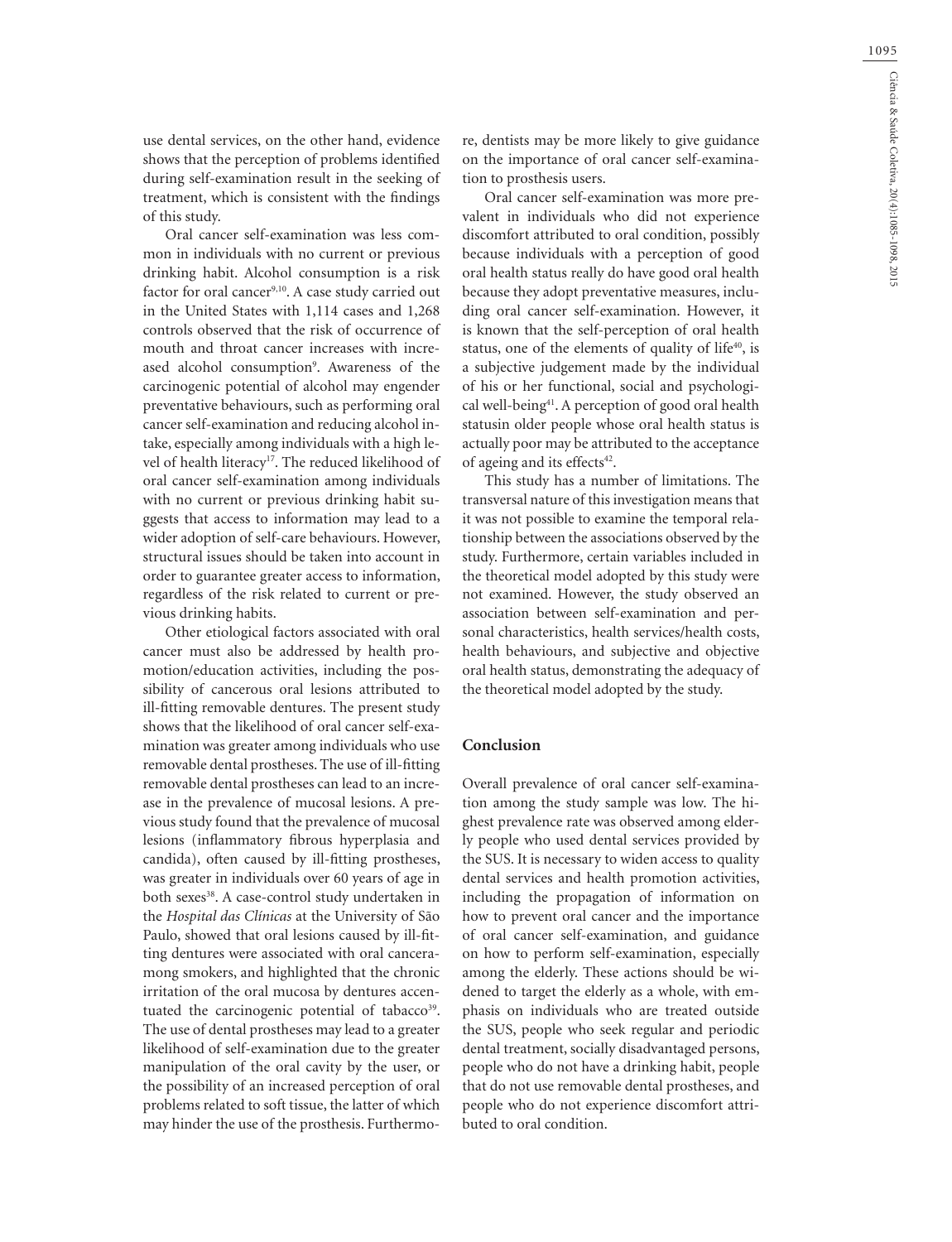use dental services, on the other hand, evidence shows that the perception of problems identified during self-examination result in the seeking of treatment, which is consistent with the findings of this study.

Oral cancer self-examination was less common in individuals with no current or previous drinking habit. Alcohol consumption is a risk factor for oral cancer<sup>9,10</sup>. A case study carried out in the United States with 1,114 cases and 1,268 controls observed that the risk of occurrence of mouth and throat cancer increases with increased alcohol consumption<sup>9</sup>. Awareness of the carcinogenic potential of alcohol may engender preventative behaviours, such as performing oral cancer self-examination and reducing alcohol intake, especially among individuals with a high level of health literacy<sup>17</sup>. The reduced likelihood of oral cancer self-examination among individuals with no current or previous drinking habit suggests that access to information may lead to a wider adoption of self-care behaviours. However, structural issues should be taken into account in order to guarantee greater access to information, regardless of the risk related to current or previous drinking habits.

Other etiological factors associated with oral cancer must also be addressed by health promotion/education activities, including the possibility of cancerous oral lesions attributed to ill-fitting removable dentures. The present study shows that the likelihood of oral cancer self-examination was greater among individuals who use removable dental prostheses. The use of ill-fitting removable dental prostheses can lead to an increase in the prevalence of mucosal lesions. A previous study found that the prevalence of mucosal lesions (inflammatory fibrous hyperplasia and candida), often caused by ill-fitting prostheses, was greater in individuals over 60 years of age in both sexes<sup>38</sup>. A case-control study undertaken in the *Hospital das Clínicas* at the University of São Paulo, showed that oral lesions caused by ill-fitting dentures were associated with oral canceramong smokers, and highlighted that the chronic irritation of the oral mucosa by dentures accentuated the carcinogenic potential of tabacco<sup>39</sup>. The use of dental prostheses may lead to a greater likelihood of self-examination due to the greater manipulation of the oral cavity by the user, or the possibility of an increased perception of oral problems related to soft tissue, the latter of which may hinder the use of the prosthesis. Furthermore, dentists may be more likely to give guidance on the importance of oral cancer self-examination to prosthesis users.

Oral cancer self-examination was more prevalent in individuals who did not experience discomfort attributed to oral condition, possibly because individuals with a perception of good oral health status really do have good oral health because they adopt preventative measures, including oral cancer self-examination. However, it is known that the self-perception of oral health status, one of the elements of quality of life<sup>40</sup>, is a subjective judgement made by the individual of his or her functional, social and psychological well-being<sup>41</sup>. A perception of good oral health statusin older people whose oral health status is actually poor may be attributed to the acceptance of ageing and its effects<sup>42</sup>.

This study has a number of limitations. The transversal nature of this investigation means that it was not possible to examine the temporal relationship between the associations observed by the study. Furthermore, certain variables included in the theoretical model adopted by this study were not examined. However, the study observed an association between self-examination and personal characteristics, health services/health costs, health behaviours, and subjective and objective oral health status, demonstrating the adequacy of the theoretical model adopted by the study.

#### **Conclusion**

Overall prevalence of oral cancer self-examination among the study sample was low. The highest prevalence rate was observed among elderly people who used dental services provided by the SUS. It is necessary to widen access to quality dental services and health promotion activities, including the propagation of information on how to prevent oral cancer and the importance of oral cancer self-examination, and guidance on how to perform self-examination, especially among the elderly. These actions should be widened to target the elderly as a whole, with emphasis on individuals who are treated outside the SUS, people who seek regular and periodic dental treatment, socially disadvantaged persons, people who do not have a drinking habit, people that do not use removable dental prostheses, and people who do not experience discomfort attributed to oral condition.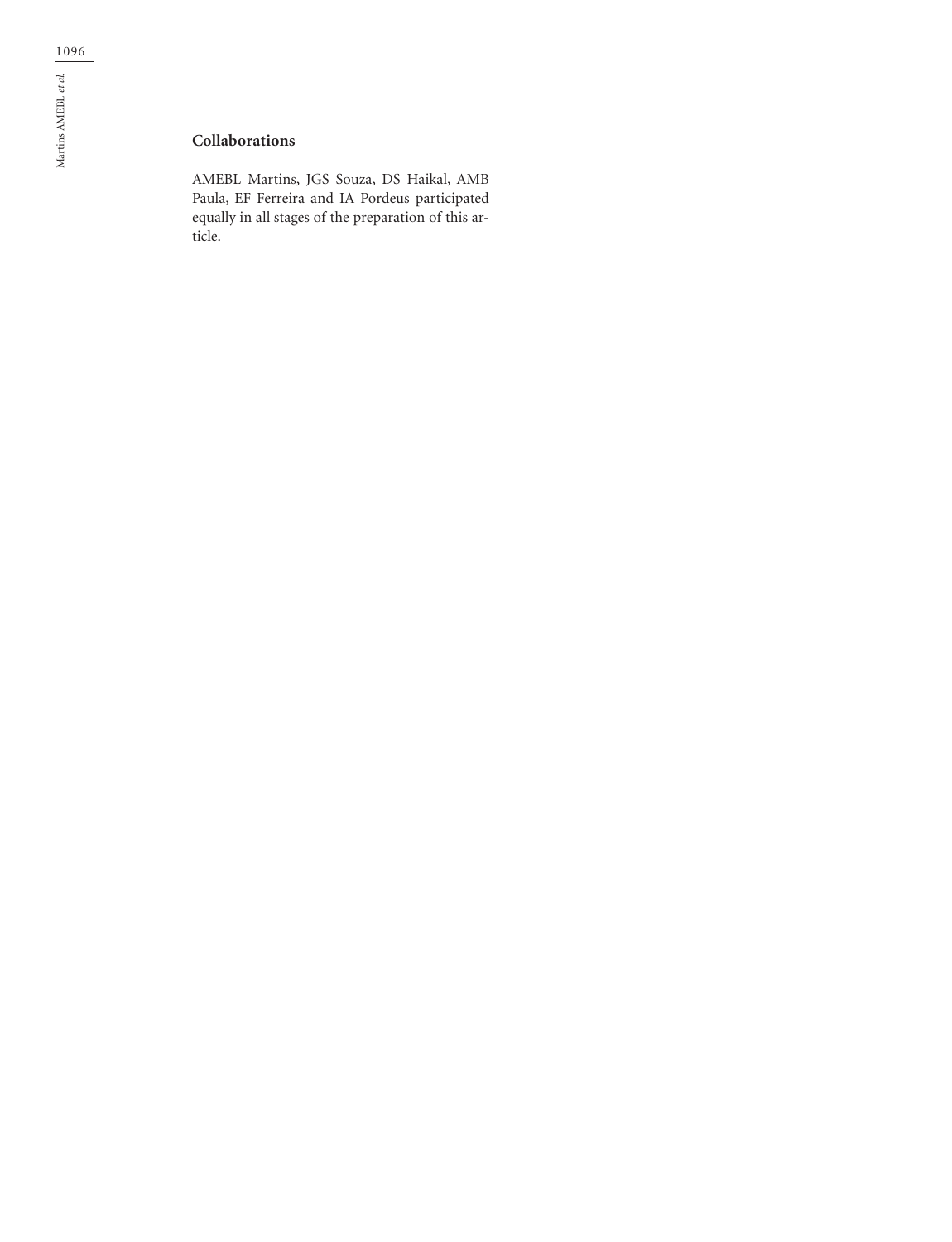# **Collaborations**

AMEBL Martins, JGS Souza, DS Haikal, AMB Paula, EF Ferreira and IA Pordeus participated equally in all stages of the preparation of this article.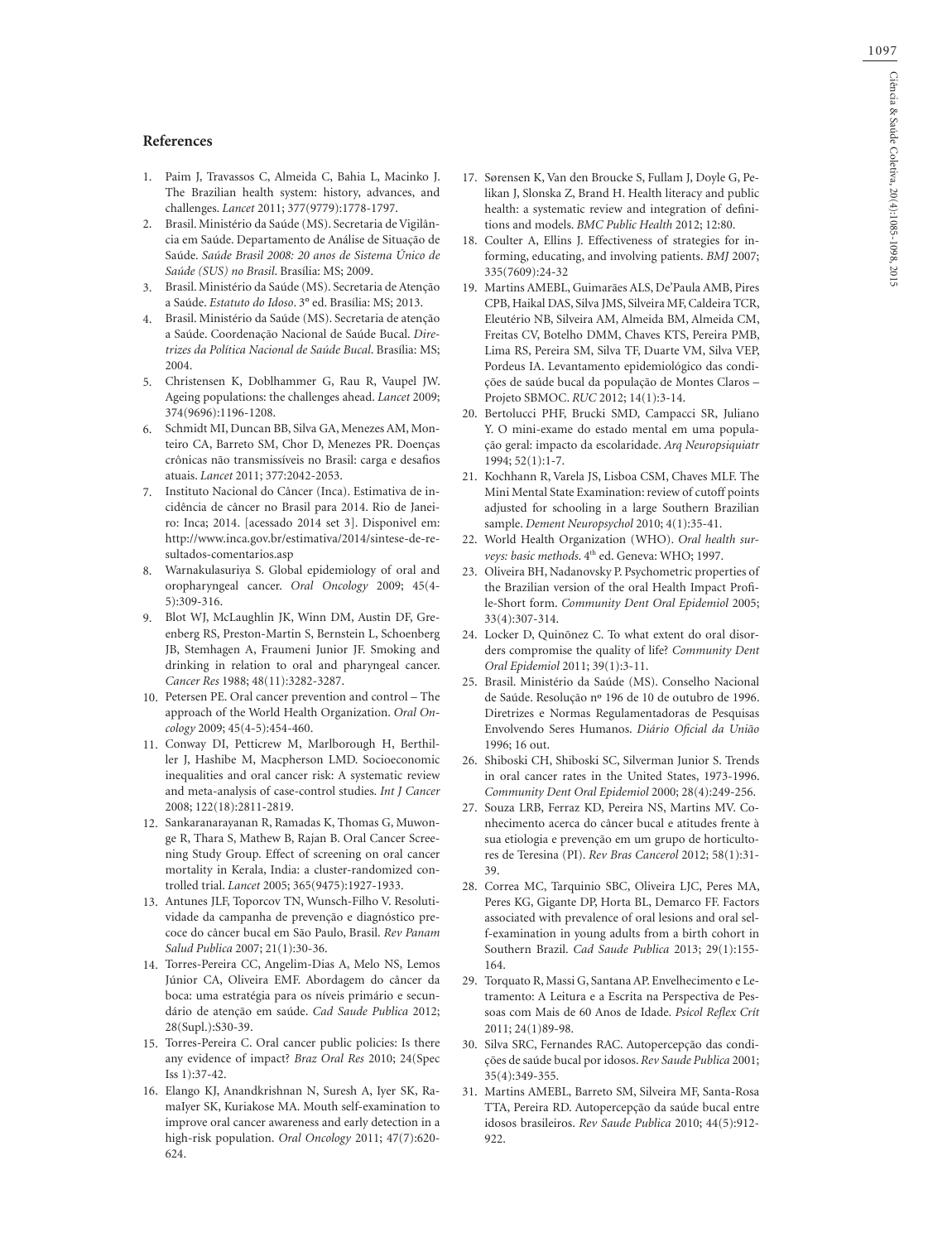#### **References**

- Paim J, Travassos C, Almeida C, Bahia L, Macinko J. 1. The Brazilian health system: history, advances, and challenges. *Lancet* 2011; 377(9779):1778-1797.
- Brasil. Ministério da Saúde (MS). Secretaria de Vigilância em Saúde. Departamento de Análise de Situação de Saúde. *Saúde Brasil 2008: 20 anos de Sistema Único de Saúde (SUS) no Brasil*. Brasília: MS; 2009.  $\mathfrak{2}$
- Brasil. Ministério da Saúde (MS). Secretaria de Atenção 3. a Saúde. *Estatuto do Idoso*. 3° ed. Brasília: MS; 2013.
- Brasil. Ministério da Saúde (MS). Secretaria de atenção 4. a Saúde. Coordenação Nacional de Saúde Bucal. *Diretrizes da Política Nacional de Saúde Bucal*. Brasília: MS; 2004.
- Christensen K, Doblhammer G, Rau R, Vaupel JW. Ageing populations: the challenges ahead. *Lancet* 2009; 374(9696):1196-1208. 5.
- 6. Schmidt MI, Duncan BB, Silva GA, Menezes AM, Monteiro CA, Barreto SM, Chor D, Menezes PR. Doenças crônicas não transmissíveis no Brasil: carga e desafios atuais. *Lancet* 2011; 377:2042-2053.
- Instituto Nacional do Câncer (Inca). Estimativa de in-7. cidência de câncer no Brasil para 2014. Rio de Janeiro: Inca; 2014. [acessado 2014 set 3]. Disponivel em: http://www.inca.gov.br/estimativa/2014/sintese-de-resultados-comentarios.asp
- Warnakulasuriya S. Global epidemiology of oral and oropharyngeal cancer. *Oral Oncology* 2009; 45(4- 5):309-316. 8.
- Blot WJ, McLaughlin JK, Winn DM, Austin DF, Gre-9. enberg RS, Preston-Martin S, Bernstein L, Schoenberg JB, Stemhagen A, Fraumeni Junior JF. Smoking and drinking in relation to oral and pharyngeal cancer. *Cancer Res* 1988; 48(11):3282-3287.
- 10. Petersen PE. Oral cancer prevention and control The approach of the World Health Organization. *Oral Oncology* 2009; 45(4-5):454-460.
- 11. Conway DI, Petticrew M, Marlborough H, Berthiller J, Hashibe M, Macpherson LMD. Socioeconomic inequalities and oral cancer risk: A systematic review and meta-analysis of case-control studies. *Int J Cancer* 2008; 122(18):2811-2819.
- 12. Sankaranarayanan R, Ramadas K, Thomas G, Muwonge R, Thara S, Mathew B, Rajan B. Oral Cancer Screening Study Group. Effect of screening on oral cancer mortality in Kerala, India: a cluster-randomized controlled trial. *Lancet* 2005; 365(9475):1927-1933.
- 13. Antunes JLF, Toporcov TN, Wunsch-Filho V. Resolutividade da campanha de prevenção e diagnóstico precoce do câncer bucal em São Paulo, Brasil. *Rev Panam Salud Publica* 2007; 21(1):30-36.
- 14. Torres-Pereira CC, Angelim-Dias A, Melo NS, Lemos Júnior CA, Oliveira EMF. Abordagem do câncer da boca: uma estratégia para os níveis primário e secundário de atenção em saúde. *Cad Saude Publica* 2012; 28(Supl.):S30-39.
- 15. Torres-Pereira C. Oral cancer public policies: Is there any evidence of impact? *Braz Oral Res* 2010; 24(Spec Iss 1):37-42.
- Elango KJ, Anandkrishnan N, Suresh A, Iyer SK, Ra-16.maIyer SK, Kuriakose MA. Mouth self-examination to improve oral cancer awareness and early detection in a high-risk population. *Oral Oncology* 2011; 47(7):620- 624.
- 17. Sørensen K, Van den Broucke S, Fullam J, Doyle G, Pelikan J, Slonska Z, Brand H. Health literacy and public health: a systematic review and integration of definitions and models. *BMC Public Health* 2012; 12:80.
- 18. Coulter A, Ellins J. Effectiveness of strategies for informing, educating, and involving patients. *BMJ* 2007; 335(7609):24-32
- Martins AMEBL, Guimarães ALS, De'Paula AMB, Pires 19. CPB, Haikal DAS, Silva JMS, Silveira MF, Caldeira TCR, Eleutério NB, Silveira AM, Almeida BM, Almeida CM, Freitas CV, Botelho DMM, Chaves KTS, Pereira PMB, Lima RS, Pereira SM, Silva TF, Duarte VM, Silva VEP, Pordeus IA. Levantamento epidemiológico das condições de saúde bucal da população de Montes Claros – Projeto SBMOC. *RUC* 2012; 14(1):3-14.
- 20. Bertolucci PHF, Brucki SMD, Campacci SR, Juliano Y. O mini-exame do estado mental em uma população geral: impacto da escolaridade. *Arq Neuropsiquiatr* 1994; 52(1):1-7.
- 21. Kochhann R, Varela JS, Lisboa CSM, Chaves MLF. The Mini Mental State Examination: review of cutoff points adjusted for schooling in a large Southern Brazilian sample. *Dement Neuropsychol* 2010; 4(1):35-41.
- World Health Organization (WHO). *Oral health sur-*22. veys: basic methods. 4<sup>th</sup> ed. Geneva: WHO; 1997.
- 23. Oliveira BH, Nadanovsky P. Psychometric properties of the Brazilian version of the oral Health Impact Profile-Short form. *Community Dent Oral Epidemiol* 2005; 33(4):307-314.
- Locker D, Quinõnez C. To what extent do oral disor-24. ders compromise the quality of life? *Community Dent Oral Epidemiol* 2011; 39(1):3-11.
- 25. Brasil. Ministério da Saúde (MS). Conselho Nacional de Saúde. Resolução nº 196 de 10 de outubro de 1996. Diretrizes e Normas Regulamentadoras de Pesquisas Envolvendo Seres Humanos. *Diário Oficial da União* 1996; 16 out.
- 26. Shiboski CH, Shiboski SC, Silverman Junior S. Trends in oral cancer rates in the United States, 1973-1996. *Community Dent Oral Epidemiol* 2000; 28(4):249-256.
- 27. Souza LRB, Ferraz KD, Pereira NS, Martins MV. Conhecimento acerca do câncer bucal e atitudes frente à sua etiologia e prevenção em um grupo de horticultores de Teresina (PI). *Rev Bras Cancerol* 2012; 58(1):31- 39.
- 28. Correa MC, Tarquinio SBC, Oliveira LJC, Peres MA, Peres KG, Gigante DP, Horta BL, Demarco FF. Factors associated with prevalence of oral lesions and oral self-examination in young adults from a birth cohort in Southern Brazil. *Cad Saude Publica* 2013; 29(1):155- 164.
- Torquato R, Massi G, Santana AP. Envelhecimento e Le-29. tramento: A Leitura e a Escrita na Perspectiva de Pessoas com Mais de 60 Anos de Idade. *Psicol Reflex Crít* 2011; 24(1)89-98.
- 30. Silva SRC, Fernandes RAC. Autopercepção das condições de saúde bucal por idosos. *Rev Saude Publica* 2001; 35(4):349-355.
- Martins AMEBL, Barreto SM, Silveira MF, Santa-Rosa 31. TTA, Pereira RD. Autopercepção da saúde bucal entre idosos brasileiros. *Rev Saude Publica* 2010; 44(5):912- 922.